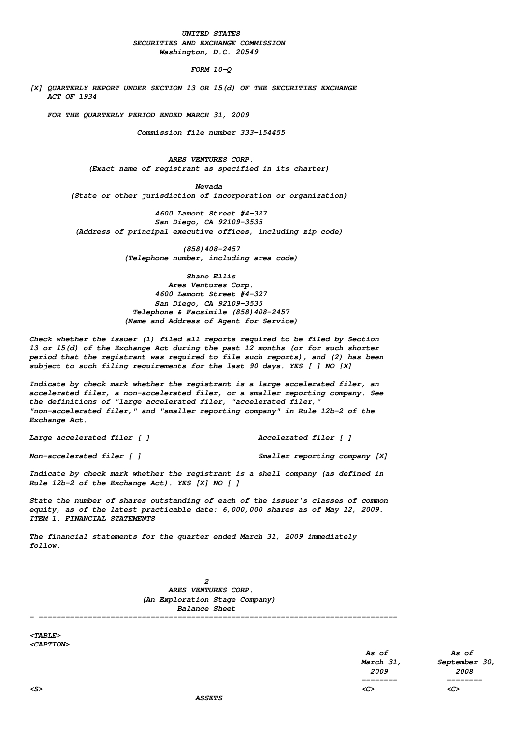## **UNITED STATES SECURITIES AND EXCHANGE COMMISSION Washington, D.C. 20549**

# **FORM 10-Q**

**[X] QUARTERLY REPORT UNDER SECTION 13 OR 15(d) OF THE SECURITIES EXCHANGE ACT OF 1934**

**FOR THE QUARTERLY PERIOD ENDED MARCH 31, 2009**

**Commission file number 333-154455**

**ARES VENTURES CORP. (Exact name of registrant as specified in its charter)**

**Nevada (State or other jurisdiction of incorporation or organization)**

**4600 Lamont Street #4-327 San Diego, CA 92109-3535 (Address of principal executive offices, including zip code)**

> **(858)408-2457 (Telephone number, including area code)**

> **Shane Ellis Ares Ventures Corp. 4600 Lamont Street #4-327 San Diego, CA 92109-3535 Telephone & Facsimile (858)408-2457 (Name and Address of Agent for Service)**

**Check whether the issuer (1) filed all reports required to be filed by Section 13 or 15(d) of the Exchange Act during the past 12 months (or for such shorter period that the registrant was required to file such reports), and (2) has been subject to such filing requirements for the last 90 days. YES [ ] NO [X]**

**Indicate by check mark whether the registrant is a large accelerated filer, an accelerated filer, a non-accelerated filer, or a smaller reporting company. See the definitions of "large accelerated filer, "accelerated filer," "non-accelerated filer," and "smaller reporting company" in Rule 12b-2 of the Exchange Act.**

**Large accelerated filer [ ] Accelerated filer [ ]**

**Non-accelerated filer [ ] Smaller reporting company [X]**

**Indicate by check mark whether the registrant is a shell company (as defined in Rule 12b-2 of the Exchange Act). YES [X] NO [ ]**

**State the number of shares outstanding of each of the issuer's classes of common equity, as of the latest practicable date: 6,000,000 shares as of May 12, 2009. ITEM 1. FINANCIAL STATEMENTS**

**The financial statements for the quarter ended March 31, 2009 immediately follow.**

**2 ARES VENTURES CORP. (An Exploration Stage Company) Balance Sheet - --------------------------------------------------------------------------------**

**<TABLE> <CAPTION>**

**As of As of March 31, September 30, 2009 2008 -------- -------- <S> <C> <C>**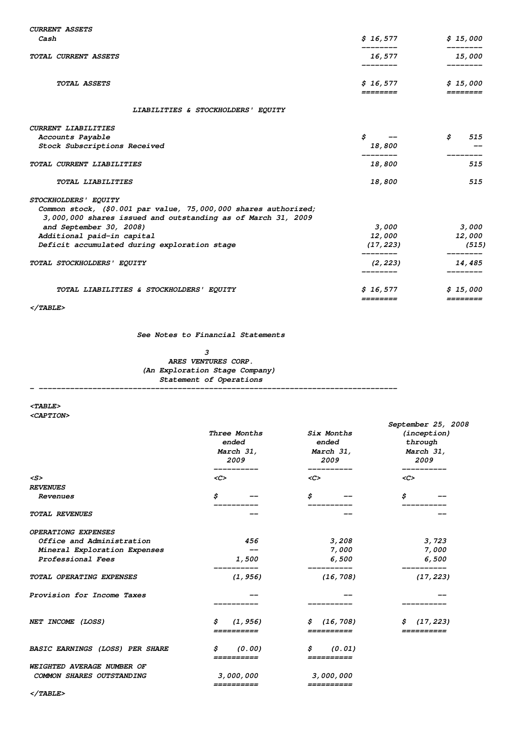| <b>CURRENT ASSETS</b><br>Cash                                                                                                                           | \$16,577                | \$15,000                        |
|---------------------------------------------------------------------------------------------------------------------------------------------------------|-------------------------|---------------------------------|
| TOTAL CURRENT ASSETS                                                                                                                                    | ________<br>16,577      | _______<br><i><b>15,000</b></i> |
| TOTAL ASSETS                                                                                                                                            | \$16,577<br>========    | \$15,000<br>========            |
| LIABILITIES & STOCKHOLDERS' EQUITY                                                                                                                      |                         |                                 |
| <b>CURRENT LIABILITIES</b>                                                                                                                              |                         |                                 |
| Accounts Payable                                                                                                                                        | \$                      | \$<br>515                       |
| Stock Subscriptions Received                                                                                                                            | 18,800                  |                                 |
| TOTAL CURRENT LIABILITIES                                                                                                                               | 18,800                  | 515                             |
| TOTAL LIABILITIES                                                                                                                                       | 18,800                  | 515                             |
| STOCKHOLDERS' EQUITY<br>Common stock, (\$0.001 par value, 75,000,000 shares authorized;<br>3,000,000 shares issued and outstanding as of March 31, 2009 |                         |                                 |
| and September 30, 2008)                                                                                                                                 | 3,000                   | 3,000                           |
| Additional paid-in capital                                                                                                                              | <i>12,000</i>           | <i>12,000</i>                   |
| Deficit accumulated during exploration stage                                                                                                            | (17, 223)<br>________   | (515)<br>_______                |
| TOTAL STOCKHOLDERS' EQUITY                                                                                                                              | (2, 223)                | 14,485                          |
| TOTAL LIABILITIES & STOCKHOLDERS' EQUITY                                                                                                                | \$16,577<br>$=$ ======= | \$15,000<br>========            |

**</TABLE>**

**See Notes to Financial Statements**

**3 ARES VENTURES CORP. (An Exploration Stage Company) Statement of Operations - --------------------------------------------------------------------------------**

**<TABLE> <CAPTION>**

|                                        | <b>Three Months</b><br>ended<br>March 31,<br>2009 | <i>Six Months</i><br>ended<br>March 31,<br>2009<br>_________ | September 25, 2008<br>(inception)<br>through<br>March 31,<br>2009 |
|----------------------------------------|---------------------------------------------------|--------------------------------------------------------------|-------------------------------------------------------------------|
| $\langle S \rangle$                    | $\langle C \rangle$                               | $\langle C \rangle$                                          | $\langle C \rangle$                                               |
| <b>REVENUES</b>                        |                                                   |                                                              |                                                                   |
| Revenues                               | \$                                                | \$                                                           | \$                                                                |
| <b>TOTAL REVENUES</b>                  |                                                   |                                                              |                                                                   |
| <b>OPERATIONG EXPENSES</b>             |                                                   |                                                              |                                                                   |
| Office and Administration              | 456                                               | 3,208                                                        | 3,723                                                             |
| Mineral Exploration Expenses           |                                                   | 7,000                                                        | 7,000                                                             |
| Professional Fees                      | 1,500                                             | 6,500                                                        | 6,500                                                             |
| TOTAL OPERATING EXPENSES               | (1, 956)                                          | (16, 708)                                                    | (17, 223)                                                         |
| Provision for Income Taxes             |                                                   |                                                              |                                                                   |
|                                        |                                                   |                                                              |                                                                   |
| NET INCOME (LOSS)                      | (1, 956)<br>\$                                    | \$(16, 708)                                                  | (17, 223)                                                         |
|                                        |                                                   |                                                              |                                                                   |
| <b>BASIC EARNINGS (LOSS) PER SHARE</b> | (0.00)<br>\$                                      | (0.01)<br>\$                                                 |                                                                   |
| WEIGHTED AVERAGE NUMBER OF             | -----------                                       | ----------                                                   |                                                                   |
| COMMON SHARES OUTSTANDING              | 3,000,000                                         | 3,000,000                                                    |                                                                   |
|                                        | ==========                                        | ==========                                                   |                                                                   |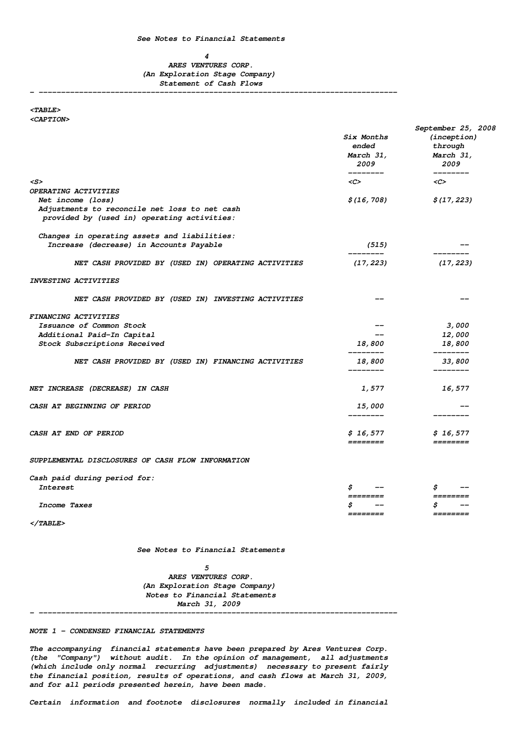## **4 ARES VENTURES CORP. (An Exploration Stage Company) Statement of Cash Flows**

**- --------------------------------------------------------------------------------**

**<TABLE> <CAPTION>**

|                                                                                                                                                                       | Six Months<br>ended<br>March 31,<br>2009<br>________ | September 25, 2008<br>(inception)<br>through<br>March 31,<br>2009<br>________ |
|-----------------------------------------------------------------------------------------------------------------------------------------------------------------------|------------------------------------------------------|-------------------------------------------------------------------------------|
| $S>$                                                                                                                                                                  | $\langle C \rangle$                                  | $\langle C \rangle$                                                           |
| OPERATING ACTIVITIES<br>Net income (loss)<br>Adjustments to reconcile net loss to net cash<br>provided by (used in) operating activities:                             | \$(16, 708)                                          | \$ (17, 223)                                                                  |
| Changes in operating assets and liabilities:<br>Increase (decrease) in Accounts Payable                                                                               | (515)                                                |                                                                               |
| NET CASH PROVIDED BY (USED IN) OPERATING ACTIVITIES                                                                                                                   | (17, 223)                                            | (17, 223)                                                                     |
| INVESTING ACTIVITIES                                                                                                                                                  |                                                      |                                                                               |
| NET CASH PROVIDED BY (USED IN) INVESTING ACTIVITIES                                                                                                                   |                                                      |                                                                               |
| FINANCING ACTIVITIES<br>Issuance of Common Stock<br>Additional Paid-In Capital<br>Stock Subscriptions Received<br>NET CASH PROVIDED BY (USED IN) FINANCING ACTIVITIES | 18,800<br>_______<br>18,800                          | 3,000<br>12,000<br>18,800<br>---------<br>33,800                              |
| NET INCREASE (DECREASE) IN CASH                                                                                                                                       | 1,577                                                | 16,577                                                                        |
| CASH AT BEGINNING OF PERIOD                                                                                                                                           | <i><b>15,000</b></i><br>________                     | ---------                                                                     |
| CASH AT END OF PERIOD                                                                                                                                                 | \$16,577<br>========                                 | \$16,577<br>========                                                          |
| SUPPLEMENTAL DISCLOSURES OF CASH FLOW INFORMATION                                                                                                                     |                                                      |                                                                               |
| Cash paid during period for:<br>Interest                                                                                                                              | \$<br>========                                       | s<br>========                                                                 |
| Income Taxes                                                                                                                                                          | S<br>========                                        | S<br>========                                                                 |
| <b></b>                                                                                                                                                               |                                                      |                                                                               |

  |  |**See Notes to Financial Statements**

**5 ARES VENTURES CORP. (An Exploration Stage Company) Notes to Financial Statements March 31, 2009**

**- --------------------------------------------------------------------------------**

## **NOTE 1 - CONDENSED FINANCIAL STATEMENTS**

**The accompanying financial statements have been prepared by Ares Ventures Corp. (the "Company") without audit. In the opinion of management, all adjustments (which include only normal recurring adjustments) necessary to present fairly the financial position, results of operations, and cash flows at March 31, 2009, and for all periods presented herein, have been made.**

**Certain information and footnote disclosures normally included in financial**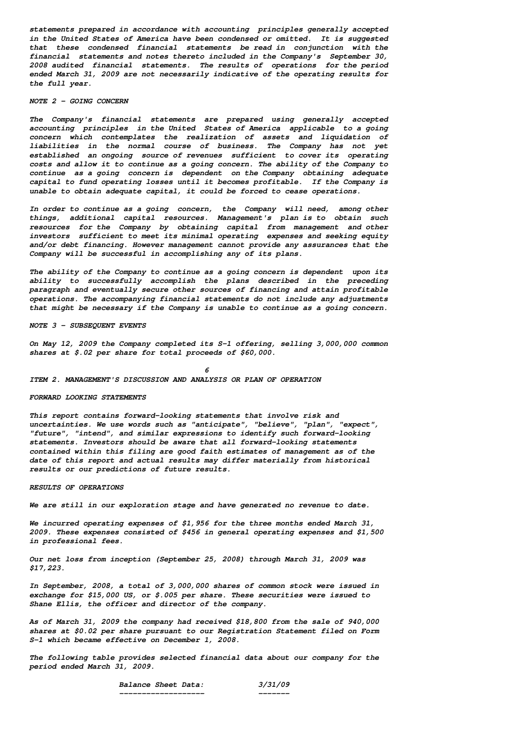**statements prepared in accordance with accounting principles generally accepted in the United States of America have been condensed or omitted. It is suggested that these condensed financial statements be read in conjunction with the financial statements and notes thereto included in the Company's September 30, 2008 audited financial statements. The results of operations for the period ended March 31, 2009 are not necessarily indicative of the operating results for the full year.**

## **NOTE 2 - GOING CONCERN**

**The Company's financial statements are prepared using generally accepted accounting principles in the United States of America applicable to a going concern which contemplates the realization of assets and liquidation of liabilities in the normal course of business. The Company has not yet established an ongoing source of revenues sufficient to cover its operating costs and allow it to continue as a going concern. The ability of the Company to continue as a going concern is dependent on the Company obtaining adequate capital to fund operating losses until it becomes profitable. If the Company is unable to obtain adequate capital, it could be forced to cease operations.**

**In order to continue as a going concern, the Company will need, among other things, additional capital resources. Management's plan is to obtain such resources for the Company by obtaining capital from management and other investors sufficient to meet its minimal operating expenses and seeking equity and/or debt financing. However management cannot provide any assurances that the Company will be successful in accomplishing any of its plans.**

**The ability of the Company to continue as a going concern is dependent upon its ability to successfully accomplish the plans described in the preceding paragraph and eventually secure other sources of financing and attain profitable operations. The accompanying financial statements do not include any adjustments that might be necessary if the Company is unable to continue as a going concern.**

**NOTE 3 - SUBSEQUENT EVENTS**

**On May 12, 2009 the Company completed its S-1 offering, selling 3,000,000 common shares at \$.02 per share for total proceeds of \$60,000.**

**6**

**ITEM 2. MANAGEMENT'S DISCUSSION AND ANALYSIS OR PLAN OF OPERATION**

## **FORWARD LOOKING STATEMENTS**

**This report contains forward-looking statements that involve risk and uncertainties. We use words such as "anticipate", "believe", "plan", "expect", "future", "intend", and similar expressions to identify such forward-looking statements. Investors should be aware that all forward-looking statements contained within this filing are good faith estimates of management as of the date of this report and actual results may differ materially from historical results or our predictions of future results.**

**RESULTS OF OPERATIONS**

**We are still in our exploration stage and have generated no revenue to date.**

**We incurred operating expenses of \$1,956 for the three months ended March 31, 2009. These expenses consisted of \$456 in general operating expenses and \$1,500 in professional fees.**

**Our net loss from inception (September 25, 2008) through March 31, 2009 was \$17,223.**

**In September, 2008, a total of 3,000,000 shares of common stock were issued in exchange for \$15,000 US, or \$.005 per share. These securities were issued to Shane Ellis, the officer and director of the company.**

**As of March 31, 2009 the company had received \$18,800 from the sale of 940,000 shares at \$0.02 per share pursuant to our Registration Statement filed on Form S-1 which became effective on December 1, 2008.**

**The following table provides selected financial data about our company for the period ended March 31, 2009.**

> **Balance Sheet Data: 3/31/09 ------------------- -------**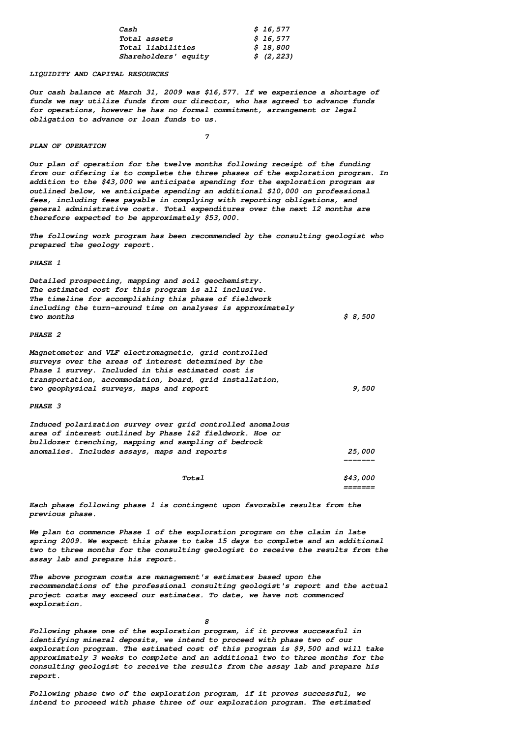| Cash                     | \$16,577   |
|--------------------------|------------|
| <i>Total assets</i>      | \$16.577   |
| <i>Total liabilities</i> | \$18,800   |
| Shareholders' equity     | \$(2, 223) |

#### **LIQUIDITY AND CAPITAL RESOURCES**

**Our cash balance at March 31, 2009 was \$16,577. If we experience a shortage of funds we may utilize funds from our director, who has agreed to advance funds for operations, however he has no formal commitment, arrangement or legal obligation to advance or loan funds to us.**

**7**

#### **PLAN OF OPERATION**

**Our plan of operation for the twelve months following receipt of the funding from our offering is to complete the three phases of the exploration program. In addition to the \$43,000 we anticipate spending for the exploration program as outlined below, we anticipate spending an additional \$10,000 on professional fees, including fees payable in complying with reporting obligations, and general administrative costs. Total expenditures over the next 12 months are therefore expected to be approximately \$53,000.**

**The following work program has been recommended by the consulting geologist who prepared the geology report.**

## **PHASE 1**

**Detailed prospecting, mapping and soil geochemistry. The estimated cost for this program is all inclusive. The timeline for accomplishing this phase of fieldwork including the turn-around time on analyses is approximately two months \$ 8,500**

## **PHASE 2**

**Magnetometer and VLF electromagnetic, grid controlled surveys over the areas of interest determined by the Phase 1 survey. Included in this estimated cost is transportation, accommodation, board, grid installation, two geophysical surveys, maps and report 9,500**

## **PHASE 3**

| Induced polarization survey over grid controlled anomalous |                      |
|------------------------------------------------------------|----------------------|
| area of interest outlined by Phase 1&2 fieldwork. Hoe or   |                      |
| bulldozer trenching, mapping and sampling of bedrock       |                      |
| anomalies. Includes assays, maps and reports               | <i><b>25,000</b></i> |
|                                                            |                      |
|                                                            |                      |

| Total | <i><b>\$43,000</b></i> |
|-------|------------------------|
|       | _______<br>-------     |

**Each phase following phase 1 is contingent upon favorable results from the previous phase.**

**We plan to commence Phase 1 of the exploration program on the claim in late spring 2009. We expect this phase to take 15 days to complete and an additional two to three months for the consulting geologist to receive the results from the assay lab and prepare his report.**

**The above program costs are management's estimates based upon the recommendations of the professional consulting geologist's report and the actual project costs may exceed our estimates. To date, we have not commenced exploration.**

**8**

**Following phase one of the exploration program, if it proves successful in identifying mineral deposits, we intend to proceed with phase two of our exploration program. The estimated cost of this program is \$9,500 and will take approximately 3 weeks to complete and an additional two to three months for the consulting geologist to receive the results from the assay lab and prepare his report.**

**Following phase two of the exploration program, if it proves successful, we intend to proceed with phase three of our exploration program. The estimated**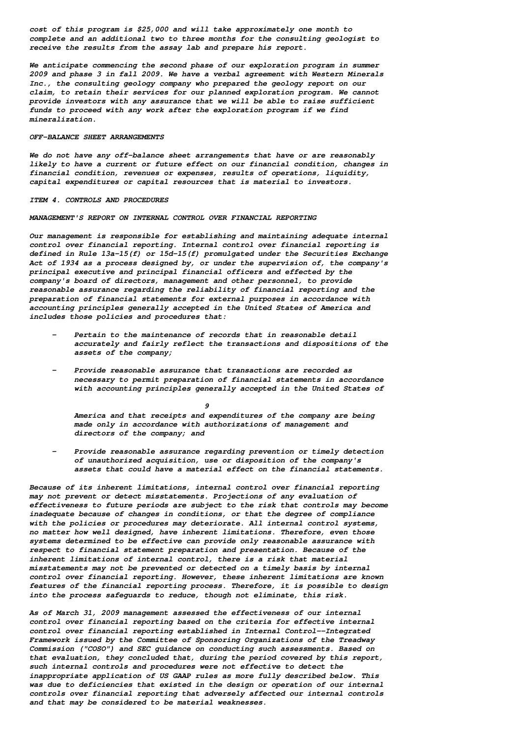**cost of this program is \$25,000 and will take approximately one month to complete and an additional two to three months for the consulting geologist to receive the results from the assay lab and prepare his report.**

**We anticipate commencing the second phase of our exploration program in summer 2009 and phase 3 in fall 2009. We have a verbal agreement with Western Minerals Inc., the consulting geology company who prepared the geology report on our claim, to retain their services for our planned exploration program. We cannot provide investors with any assurance that we will be able to raise sufficient funds to proceed with any work after the exploration program if we find mineralization.**

#### **OFF-BALANCE SHEET ARRANGEMENTS**

**We do not have any off-balance sheet arrangements that have or are reasonably likely to have a current or future effect on our financial condition, changes in financial condition, revenues or expenses, results of operations, liquidity, capital expenditures or capital resources that is material to investors.**

## **ITEM 4. CONTROLS AND PROCEDURES**

**MANAGEMENT'S REPORT ON INTERNAL CONTROL OVER FINANCIAL REPORTING**

**Our management is responsible for establishing and maintaining adequate internal control over financial reporting. Internal control over financial reporting is defined in Rule 13a-15(f) or 15d-15(f) promulgated under the Securities Exchange Act of 1934 as a process designed by, or under the supervision of, the company's principal executive and principal financial officers and effected by the company's board of directors, management and other personnel, to provide reasonable assurance regarding the reliability of financial reporting and the preparation of financial statements for external purposes in accordance with accounting principles generally accepted in the United States of America and includes those policies and procedures that:**

- **- Pertain to the maintenance of records that in reasonable detail accurately and fairly reflect the transactions and dispositions of the assets of the company;**
- **- Provide reasonable assurance that transactions are recorded as necessary to permit preparation of financial statements in accordance with accounting principles generally accepted in the United States of**

**9 America and that receipts and expenditures of the company are being made only in accordance with authorizations of management and directors of the company; and**

**- Provide reasonable assurance regarding prevention or timely detection of unauthorized acquisition, use or disposition of the company's assets that could have a material effect on the financial statements.**

**Because of its inherent limitations, internal control over financial reporting may not prevent or detect misstatements. Projections of any evaluation of effectiveness to future periods are subject to the risk that controls may become inadequate because of changes in conditions, or that the degree of compliance with the policies or procedures may deteriorate. All internal control systems, no matter how well designed, have inherent limitations. Therefore, even those systems determined to be effective can provide only reasonable assurance with respect to financial statement preparation and presentation. Because of the inherent limitations of internal control, there is a risk that material misstatements may not be prevented or detected on a timely basis by internal control over financial reporting. However, these inherent limitations are known features of the financial reporting process. Therefore, it is possible to design into the process safeguards to reduce, though not eliminate, this risk.**

**As of March 31, 2009 management assessed the effectiveness of our internal control over financial reporting based on the criteria for effective internal control over financial reporting established in Internal Control--Integrated Framework issued by the Committee of Sponsoring Organizations of the Treadway Commission ("COSO") and SEC guidance on conducting such assessments. Based on that evaluation, they concluded that, during the period covered by this report, such internal controls and procedures were not effective to detect the inappropriate application of US GAAP rules as more fully described below. This was due to deficiencies that existed in the design or operation of our internal controls over financial reporting that adversely affected our internal controls and that may be considered to be material weaknesses.**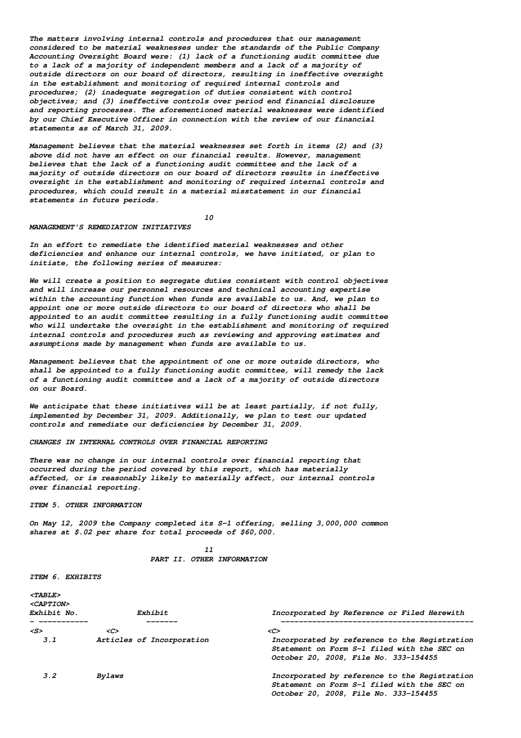**The matters involving internal controls and procedures that our management considered to be material weaknesses under the standards of the Public Company Accounting Oversight Board were: (1) lack of a functioning audit committee due to a lack of a majority of independent members and a lack of a majority of outside directors on our board of directors, resulting in ineffective oversight in the establishment and monitoring of required internal controls and procedures; (2) inadequate segregation of duties consistent with control objectives; and (3) ineffective controls over period end financial disclosure and reporting processes. The aforementioned material weaknesses were identified by our Chief Executive Officer in connection with the review of our financial statements as of March 31, 2009.**

**Management believes that the material weaknesses set forth in items (2) and (3) above did not have an effect on our financial results. However, management believes that the lack of a functioning audit committee and the lack of a majority of outside directors on our board of directors results in ineffective oversight in the establishment and monitoring of required internal controls and procedures, which could result in a material misstatement in our financial statements in future periods.**

# **10**

#### **MANAGEMENT'S REMEDIATION INITIATIVES**

**In an effort to remediate the identified material weaknesses and other deficiencies and enhance our internal controls, we have initiated, or plan to initiate, the following series of measures:**

**We will create a position to segregate duties consistent with control objectives and will increase our personnel resources and technical accounting expertise within the accounting function when funds are available to us. And, we plan to appoint one or more outside directors to our board of directors who shall be appointed to an audit committee resulting in a fully functioning audit committee who will undertake the oversight in the establishment and monitoring of required internal controls and procedures such as reviewing and approving estimates and assumptions made by management when funds are available to us.**

**Management believes that the appointment of one or more outside directors, who shall be appointed to a fully functioning audit committee, will remedy the lack of a functioning audit committee and a lack of a majority of outside directors on our Board.**

**We anticipate that these initiatives will be at least partially, if not fully, implemented by December 31, 2009. Additionally, we plan to test our updated controls and remediate our deficiencies by December 31, 2009.**

#### **CHANGES IN INTERNAL CONTROLS OVER FINANCIAL REPORTING**

**There was no change in our internal controls over financial reporting that occurred during the period covered by this report, which has materially affected, or is reasonably likely to materially affect, our internal controls over financial reporting.**

## **ITEM 5. OTHER INFORMATION**

**On May 12, 2009 the Company completed its S-1 offering, selling 3,000,000 common shares at \$.02 per share for total proceeds of \$60,000.**

> **11 PART II. OTHER INFORMATION**

**ITEM 6. EXHIBITS**

**<TABLE>**

| 14056<br><caption><br/>Exhibit No.</caption> | Exhibit                   | Incorporated by Reference or Filed Herewith                                                                                           |
|----------------------------------------------|---------------------------|---------------------------------------------------------------------------------------------------------------------------------------|
| $\langle S \rangle$                          | $\langle C \rangle$       | $\langle C \rangle$                                                                                                                   |
| 3.1                                          | Articles of Incorporation | Incorporated by reference to the Registration<br>Statement on Form S-1 filed with the SEC on<br>October 20, 2008, File No. 333-154455 |
| 3.2                                          | Bylaws                    | Incorporated by reference to the Registration<br>Statement on Form S-1 filed with the SEC on<br>October 20, 2008, File No. 333-154455 |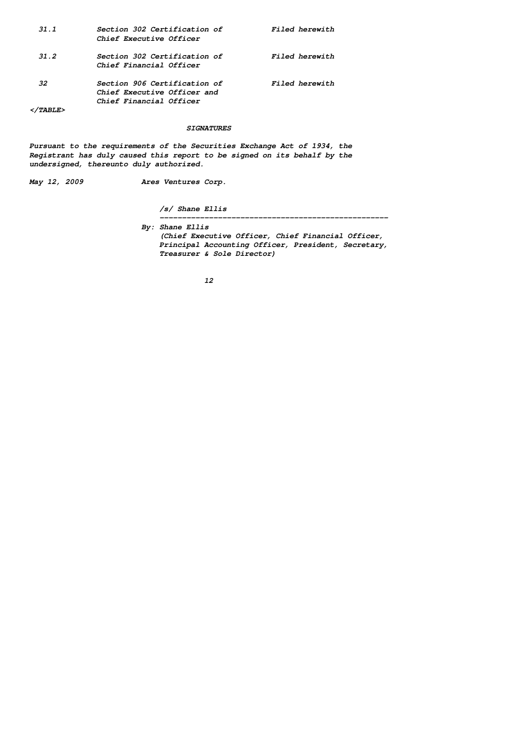| 31.1 | Section 302 Certification of<br><i>Chief Executive Officer</i>                                | <b>Filed</b> herewith |
|------|-----------------------------------------------------------------------------------------------|-----------------------|
| 31.2 | Section 302 Certification of<br><i>Chief Financial Officer</i>                                | <i>Filed herewith</i> |
| 32   | <i>Section 906 Certification of</i><br>Chief Executive Officer and<br>Chief Financial Officer | <i>Filed herewith</i> |

**</TABLE>**

#### **SIGNATURES**

**Pursuant to the requirements of the Securities Exchange Act of 1934, the Registrant has duly caused this report to be signed on its behalf by the undersigned, thereunto duly authorized.**

**May 12, 2009 Ares Ventures Corp.**

**/s/ Shane Ellis**

**--------------------------------------------------- By: Shane Ellis**

**(Chief Executive Officer, Chief Financial Officer, Principal Accounting Officer, President, Secretary, Treasurer & Sole Director)**

**12**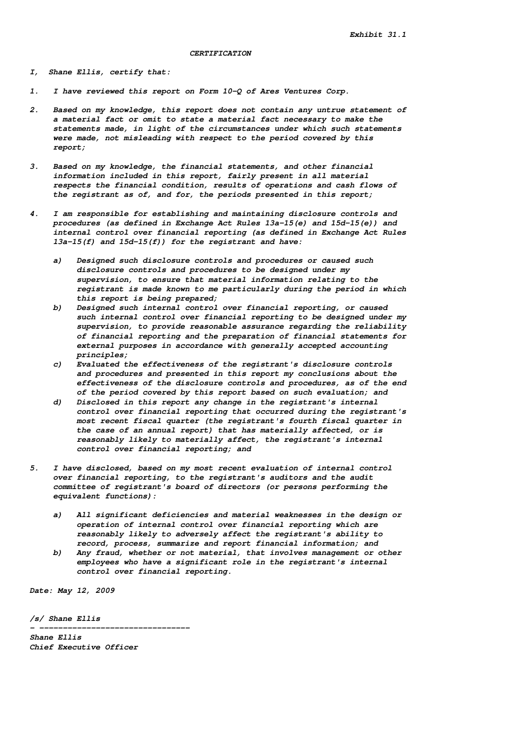## **CERTIFICATION**

- **I, Shane Ellis, certify that:**
- **1. I have reviewed this report on Form 10-Q of Ares Ventures Corp.**
- **2. Based on my knowledge, this report does not contain any untrue statement of a material fact or omit to state a material fact necessary to make the statements made, in light of the circumstances under which such statements were made, not misleading with respect to the period covered by this report;**
- **3. Based on my knowledge, the financial statements, and other financial information included in this report, fairly present in all material respects the financial condition, results of operations and cash flows of the registrant as of, and for, the periods presented in this report;**
- **4. I am responsible for establishing and maintaining disclosure controls and procedures (as defined in Exchange Act Rules 13a-15(e) and 15d-15(e)) and internal control over financial reporting (as defined in Exchange Act Rules 13a-15(f) and 15d-15(f)) for the registrant and have:**
	- **a) Designed such disclosure controls and procedures or caused such disclosure controls and procedures to be designed under my supervision, to ensure that material information relating to the registrant is made known to me particularly during the period in which this report is being prepared;**
	- **b) Designed such internal control over financial reporting, or caused such internal control over financial reporting to be designed under my supervision, to provide reasonable assurance regarding the reliability of financial reporting and the preparation of financial statements for external purposes in accordance with generally accepted accounting principles;**
	- **c) Evaluated the effectiveness of the registrant's disclosure controls and procedures and presented in this report my conclusions about the effectiveness of the disclosure controls and procedures, as of the end of the period covered by this report based on such evaluation; and**
	- **d) Disclosed in this report any change in the registrant's internal control over financial reporting that occurred during the registrant's most recent fiscal quarter (the registrant's fourth fiscal quarter in the case of an annual report) that has materially affected, or is reasonably likely to materially affect, the registrant's internal control over financial reporting; and**
- **5. I have disclosed, based on my most recent evaluation of internal control over financial reporting, to the registrant's auditors and the audit committee of registrant's board of directors (or persons performing the equivalent functions):**
	- **a) All significant deficiencies and material weaknesses in the design or operation of internal control over financial reporting which are reasonably likely to adversely affect the registrant's ability to record, process, summarize and report financial information; and b) Any fraud, whether or not material, that involves management or other**
	- **employees who have a significant role in the registrant's internal control over financial reporting.**

**Date: May 12, 2009**

**/s/ Shane Ellis**

**- -------------------------------- Shane Ellis Chief Executive Officer**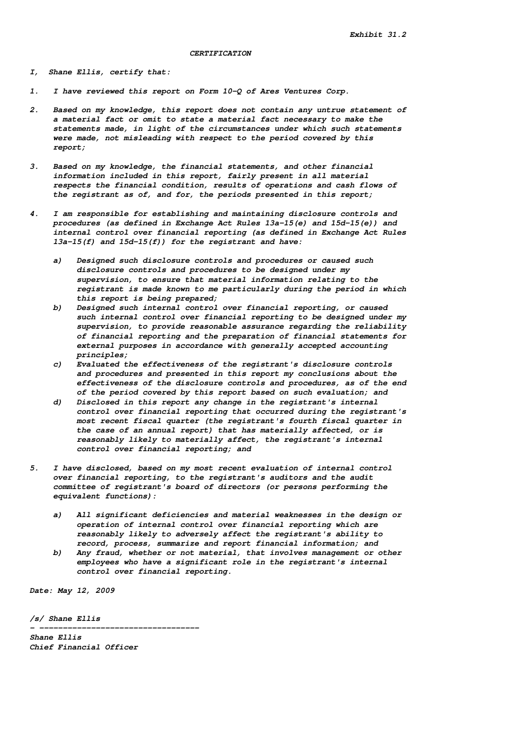## **CERTIFICATION**

- **I, Shane Ellis, certify that:**
- **1. I have reviewed this report on Form 10-Q of Ares Ventures Corp.**
- **2. Based on my knowledge, this report does not contain any untrue statement of a material fact or omit to state a material fact necessary to make the statements made, in light of the circumstances under which such statements were made, not misleading with respect to the period covered by this report;**
- **3. Based on my knowledge, the financial statements, and other financial information included in this report, fairly present in all material respects the financial condition, results of operations and cash flows of the registrant as of, and for, the periods presented in this report;**
- **4. I am responsible for establishing and maintaining disclosure controls and procedures (as defined in Exchange Act Rules 13a-15(e) and 15d-15(e)) and internal control over financial reporting (as defined in Exchange Act Rules 13a-15(f) and 15d-15(f)) for the registrant and have:**
	- **a) Designed such disclosure controls and procedures or caused such disclosure controls and procedures to be designed under my supervision, to ensure that material information relating to the registrant is made known to me particularly during the period in which this report is being prepared;**
	- **b) Designed such internal control over financial reporting, or caused such internal control over financial reporting to be designed under my supervision, to provide reasonable assurance regarding the reliability of financial reporting and the preparation of financial statements for external purposes in accordance with generally accepted accounting principles;**
	- **c) Evaluated the effectiveness of the registrant's disclosure controls and procedures and presented in this report my conclusions about the effectiveness of the disclosure controls and procedures, as of the end of the period covered by this report based on such evaluation; and**
	- **d) Disclosed in this report any change in the registrant's internal control over financial reporting that occurred during the registrant's most recent fiscal quarter (the registrant's fourth fiscal quarter in the case of an annual report) that has materially affected, or is reasonably likely to materially affect, the registrant's internal control over financial reporting; and**
- **5. I have disclosed, based on my most recent evaluation of internal control over financial reporting, to the registrant's auditors and the audit committee of registrant's board of directors (or persons performing the equivalent functions):**
	- **a) All significant deficiencies and material weaknesses in the design or operation of internal control over financial reporting which are reasonably likely to adversely affect the registrant's ability to record, process, summarize and report financial information; and**
	- **b) Any fraud, whether or not material, that involves management or other employees who have a significant role in the registrant's internal control over financial reporting.**

**Date: May 12, 2009**

**/s/ Shane Ellis**

**- ---------------------------------- Shane Ellis Chief Financial Officer**